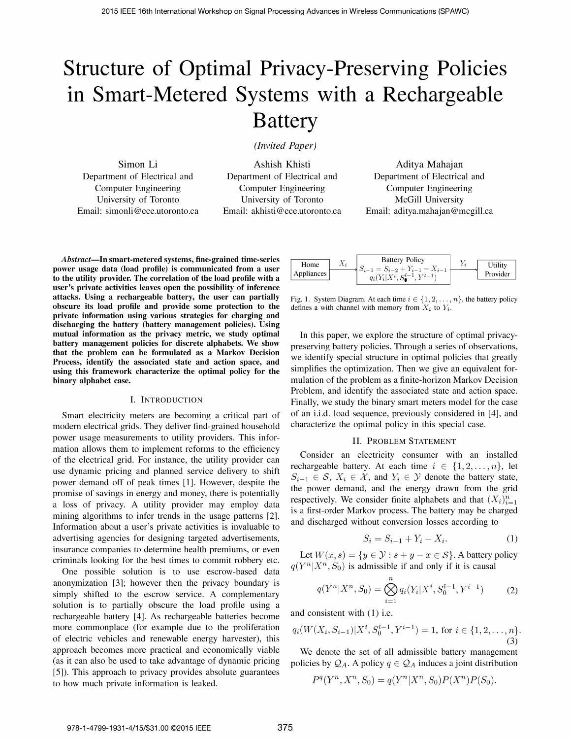# Structure of Optimal Privacy-Preserving Policies in Smart-Metered Systems with a Rechargeable Battery

(Invited Paper)

Simon Li Department of Electrical and Computer Engineering University of Toronto Email: simonli@ece.utoronto.ca

Ashish Khisti Department of Electrical and Computer Engineering University of Toronto Email: akhisti@ece.utoronto.ca

Aditya Mahajan Department of Electrical and Computer Engineering McGill University Email: aditya.mahajan@mcgill.ca

Abstract-In smart-metered systems, fine-grained time-series power usage data (load profile) is communicated from a user to the utility provider. The correlation of the load profile with a user's private activities leaves open the possibility of inference attacks. Using a rechargeable battery, the user can partially obscure its load profile and provide some protection to the private information using various strategies for charging and discharging the battery (battery management policies). Using mutual information as the privacy metric, we study optimal battery management policies for discrete alphabets. We show that the problem can be formulated as a Markov Decision Process, identify the associated state and action space, and using this framework characterize the optimal policy for the binary alphabet case.

## I. INTRODUCTION

Smart electricity meters are becoming a critical part of modern electrical grids. They deliver find-grained household power usage measurements to utility providers. This information allows them to implement reforms to the efficiency of the electrical grid. For instance, the utility provider can use dynamic pricing and planned service delivery to shift power demand off of peak times [1]. However, despite the promise of savings in energy and money, there is potentially a loss of privacy. A utility provider may employ data mining algorithms to infer trends in the usage patterns [2]. Information about a user's private activities is invaluable to advertising agencies for designing targeted advertisements, insurance companies to determine health premiums, or even criminals looking for the best times to commit robbery etc.

One possible solution is to use escrow-based data anonymization [3]; however then the privacy boundary is simply shifted to the escrow service. A complementary solution is to partially obscure the load profile using a rechargeable battery [4]. As rechargeable batteries become more commonplace (for example due to the proliferation of electric vehicles and renewable energy harvester), this approach becomes more practical and economically viable (as it can also be used to take advantage of dynamic pricing [5]). This approach to privacy provides absolute guarantees to how much private information is leaked.

| Home<br>Appliances | $\Lambda_i$ | <b>Battery Policy</b><br>$S_{i-1} = S_{i-2} + Y_{i-1} - X_{i-1}$<br>$q_i(Y_i X^i, S^{i-1}, Y^{i-1})$ | Utility  |
|--------------------|-------------|------------------------------------------------------------------------------------------------------|----------|
|                    |             |                                                                                                      | Provider |

Fig. 1. System Diagram. At each time  $i \in \{1, 2, \ldots, n\}$ , the battery policy defines a with channel with memory from  $X_i$  to  $Y_i$ .

In this paper, we explore the structure of optimal privacypreserving battery policies. Through a series of observations, we identify special structure in optimal policies that greatly simplifies the optimization. Then we give an equivalent formulation of the problem as a finite-horizon Markov Decision Problem, and identify the associated state and action space. Finally, we study the binary smart meters model for the case of an i.i.d. load sequence, previously considered in [4], and characterize the optimal policy in this special case.

## II. PROBLEM STATEMENT

Consider an electricity consumer with an installed rechargeable battery. At each time  $i \in \{1, 2, \ldots, n\}$ , let  $S_{i-1} \in \mathcal{S}, X_i \in \mathcal{X}$ , and  $Y_i \in \mathcal{Y}$  denote the battery state, the power demand, and the energy drawn from the grid respectively. We consider finite alphabets and that  $(X_i)_{i=1}^n$ is a first-order Markov process. The battery may be charged and discharged without conversion losses according to

$$
S_i = S_{i-1} + Y_i - X_i.
$$
 (1)

Let  $W(x, s) = \{y \in \mathcal{Y} : s + y - x \in \mathcal{S}\}\)$ . A battery policy  $q(Y^n|X^n, S_0)$  is admissible if and only if it is causal

$$
q(Y^n | X^n, S_0) = \bigotimes_{i=1}^n q_i(Y_i | X^i, S_0^{i-1}, Y^{i-1})
$$
 (2)

and consistent with (1) i.e.

$$
q_i(W(X_i, S_{i-1})|X^i, S_0^{i-1}, Y^{i-1}) = 1, \text{ for } i \in \{1, 2, \dots, n\}.
$$
\n(3)

We denote the set of all admissible battery management policies by  $\mathcal{Q}_A$ . A policy  $q \in \mathcal{Q}_A$  induces a joint distribution

$$
P^{q}(Y^{n}, X^{n}, S_{0}) = q(Y^{n}|X^{n}, S_{0})P(X^{n})P(S_{0}).
$$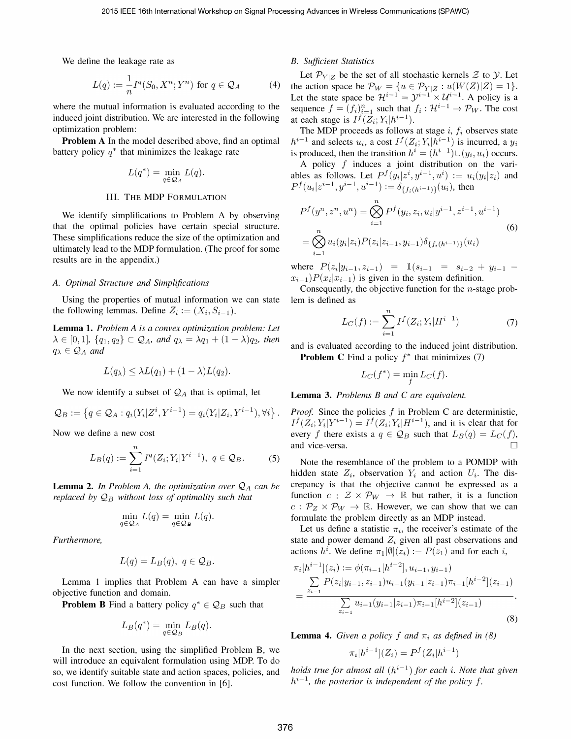We define the leakage rate as

$$
L(q) := \frac{1}{n} I^q(S_0, X^n; Y^n) \text{ for } q \in \mathcal{Q}_A \tag{4}
$$

where the mutual information is evaluated according to the induced joint distribution. We are interested in the following optimization problem:

**Problem A** In the model described above, find an optimal battery policy  $q^*$  that minimizes the leakage rate

$$
L(q^*) = \min_{q \in \mathcal{Q}_A} L(q).
$$

## III. THE MDP FORMULATION

We identify simplifications to Problem A by observing that the optimal policies have certain special structure. These simplifications reduce the size of the optimization and ultimately lead to the MDP formulation. (The proof for some results are in the appendix.)

#### A. Optimal Structure and Simplifications

Using the properties of mutual information we can state the following lemmas. Define  $Z_i := (X_i, S_{i-1}).$ 

Lemma 1. Problem A is a convex optimization problem: Let  $\lambda \in [0,1], \{q_1, q_2\} \subset \mathcal{Q}_A$ , and  $q_\lambda = \lambda q_1 + (1-\lambda)q_2$ , then  $q_{\lambda} \in \mathcal{Q}_A$  and

$$
L(q_{\lambda}) \leq \lambda L(q_1) + (1 - \lambda)L(q_2).
$$

We now identify a subset of  $\mathcal{Q}_A$  that is optimal, let

$$
\mathcal{Q}_B := \left\{ q \in \mathcal{Q}_A : q_i(Y_i | Z^i, Y^{i-1}) = q_i(Y_i | Z_i, Y^{i-1}), \forall i \right\}.
$$

Now we define a new cost

$$
L_B(q) := \sum_{i=1}^n I^q(Z_i; Y_i | Y^{i-1}), \ q \in \mathcal{Q}_B.
$$
 (5)

**Lemma 2.** In Problem A, the optimization over  $Q_A$  can be replaced by  $\mathcal{Q}_B$  without loss of optimality such that

$$
\min_{q \in \mathcal{Q}_A} L(q) = \min_{q \in \mathcal{Q}_{\mathbf{F}}} L(q).
$$

Furthermore,

$$
L(q) = L_B(q), \ q \in \mathcal{Q}_B.
$$

Lemma 1 implies that Problem A can have a simpler objective function and domain.

**Problem B** Find a battery policy  $q^* \in \mathcal{Q}_B$  such that

$$
L_B(q^*) = \min_{q \in \mathcal{Q}_B} L_B(q).
$$

In the next section, using the simplified Problem B, we will introduce an equivalent formulation using MDP. To do so, we identify suitable state and action spaces, policies, and cost function. We follow the convention in [6].

## B. Sufficient Statistics

Let  $\mathcal{P}_{Y|Z}$  be the set of all stochastic kernels  $\mathcal Z$  to  $\mathcal Y$ . Let the action space be  $\mathcal{P}_W = \{u \in \mathcal{P}_{Y|Z} : u(W(Z)|Z) = 1\}.$ Let the state space be  $\mathcal{H}^{i-1} = \mathcal{Y}^{i-1} \times \mathcal{U}^{i-1}$ . A policy is a sequence  $f = (f_i)_{i=1}^n$  such that  $f_i : \mathcal{H}^{i-1} \to \mathcal{P}_W$ . The cost at each stage is  $I^f(Z_i; Y_i | h^{i-1})$ .

The MDP proceeds as follows at stage  $i, f_i$  observes state  $h^{i-1}$  and selects  $u_i$ , a cost  $I^f(Z_i; Y_i | h^{i-1})$  is incurred, a  $y_i$ is produced, then the transition  $h^{i} = (h^{i-1}) \cup (y_i, u_i)$  occurs.

A policy  $f$  induces a joint distribution on the variables as follows. Let  $P^f(y_i|z^i, y^{i-1}, u^i) := u_i(y_i|z_i)$  and  $P^f(u_i|z^{i-1}, y^{i-1}, u^{i-1}) := \delta_{\{f_i(h^{i-1})\}}(u_i)$ , then

$$
P^f(y^n, z^n, u^n) = \bigotimes_{i=1}^n P^f(y_i, z_i, u_i | y^{i-1}, z^{i-1}, u^{i-1})
$$
  
= 
$$
\bigotimes_{i=1}^n u_i(y_i | z_i) P(z_i | z_{i-1}, y_{i-1}) \delta_{\{f_i(h^{i-1})\}}(u_i)
$$
 (6)

where  $P(z_i|y_{i-1}, z_{i-1}) = 1$   $(s_{i-1} = s_{i-2} + y_{i-1} (x_{i-1})P(x_i|x_{i-1})$  is given in the system definition.

Consequently, the objective function for the  $n$ -stage problem is defined as

$$
L_C(f) := \sum_{i=1}^{n} I^f(Z_i; Y_i | H^{i-1})
$$
 (7)

and is evaluated according to the induced joint distribution. **Problem C** Find a policy  $f^*$  that minimizes (7)

$$
L_C(f^*) = \min_{f} L_C(f).
$$

Lemma 3. Problems B and C are equivalent.

*Proof.* Since the policies  $f$  in Problem C are deterministic,  $I^f(Z_i; Y_i|Y^{i-1}) = I^f(Z_i; Y_i|H^{i-1})$ , and it is clear that for every f there exists a  $q \in \mathcal{Q}_B$  such that  $L_B(q) = L_C(f)$ , and vice-versa.

Note the resemblance of the problem to a POMDP with hidden state  $Z_i$ , observation  $Y_i$  and action  $U_i$ . The discrepancy is that the objective cannot be expressed as a function  $c : \mathcal{Z} \times \mathcal{P}_W \to \mathbb{R}$  but rather, it is a function  $c: \mathcal{P}_Z \times \mathcal{P}_W \rightarrow \mathbb{R}$ . However, we can show that we can formulate the problem directly as an MDP instead.

Let us define a statistic  $\pi_i$ , the receiver's estimate of the state and power demand  $Z_i$  given all past observations and actions  $h^i$ . We define  $\pi_1[\emptyset](z_i) := P(z_1)$  and for each i,

$$
\pi_i[h^{i-1}](z_i) := \phi(\pi_{i-1}[h^{i-2}], u_{i-1}, y_{i-1})
$$
\n
$$
= \frac{\sum_{i=1} P(z_i|y_{i-1}, z_{i-1})u_{i-1}(y_{i-1}|z_{i-1})\pi_{i-1}[h^{i-2}](z_{i-1})}{\sum_{z_{i-1}} u_{i-1}(y_{i-1}|z_{i-1})\pi_{i-1}[h^{i-2}](z_{i-1})}.
$$
\n(8)

**Lemma 4.** Given a policy f and  $\pi_i$  as defined in (8)

$$
\pi_i[h^{i-1}](Z_i) = P^f(Z_i|h^{i-1})
$$

holds true for almost all  $(h^{i-1})$  for each i. Note that given  $h^{i-1}$ , the posterior is independent of the policy f.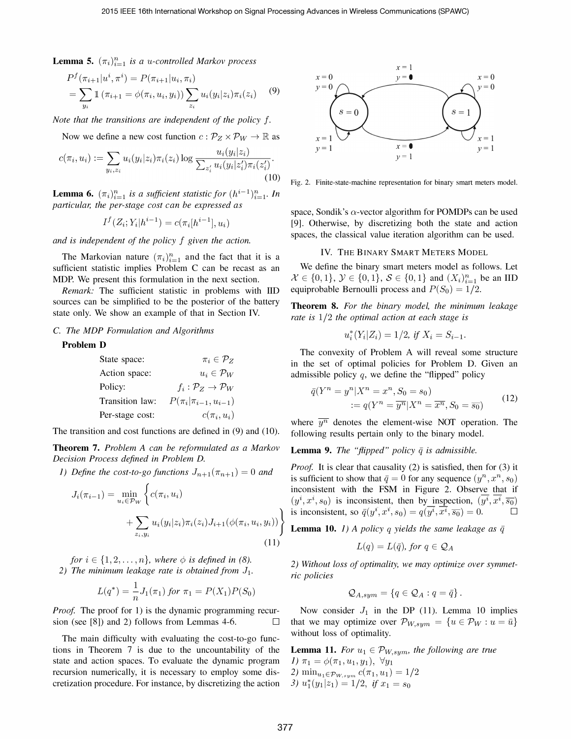**Lemma 5.**  $(\pi_i)_{i=1}^n$  is a u-controlled Markov process

$$
P^{f}(\pi_{i+1}|u^{i}, \pi^{i}) = P(\pi_{i+1}|u_{i}, \pi_{i})
$$
  
= 
$$
\sum_{y_{i}} 1(\pi_{i+1} = \phi(\pi_{i}, u_{i}, y_{i})) \sum_{z_{i}} u_{i}(y_{i}|z_{i}) \pi_{i}(z_{i})
$$
 (9)

Note that the transitions are independent of the policy f.

Now we define a new cost function  $c : \mathcal{P}_Z \times \mathcal{P}_W \to \mathbb{R}$  as

$$
c(\pi_i, u_i) := \sum_{y_i, z_i} u_i(y_i|z_i) \pi_i(z_i) \log \frac{u_i(y_i|z_i)}{\sum_{z'_i} u_i(y_i|z'_i) \pi_i(z'_i)}.
$$
\n(10)

**Lemma 6.**  $(\pi_i)_{i=1}^n$  is a sufficient statistic for  $(h^{i-1})_{i=1}^n$ . In particular, the per-stage cost can be expressed as

$$
I^f(Z_i; Y_i | h^{i-1}) = c(\pi_i[h^{i-1}], u_i)
$$

and is independent of the policy  $f$  given the action.

The Markovian nature  $(\pi_i)_{i=1}^n$  and the fact that it is a sufficient statistic implies Problem C can be recast as an MDP. We present this formulation in the next section.

Remark: The sufficient statistic in problems with lID sources can be simplified to be the posterior of the battery state only. We show an example of that in Section IV.

#### e. The MDP Formulation and Algorithms

## Problem D

| State space:    | $\pi_i \in \mathcal{P}_Z$                       |
|-----------------|-------------------------------------------------|
| Action space:   | $u_i \in \mathcal{P}_W$                         |
| Policy:         | $f_i : \mathcal{P}_Z \rightarrow \mathcal{P}_W$ |
| Transition law: | $P(\pi_i   \pi_{i-1}, u_{i-1})$                 |
| Per-stage cost: | $c(\pi_i, u_i)$                                 |

The transition and cost functions are defined in (9) and (10).

Theorem 7. Problem A can be reformulated as a Markov Decision Process defined in Problem D.

1) Define the cost-to-go functions  $J_{n+1}(\pi_{n+1}) = 0$  and

$$
J_i(\pi_{i-1}) = \min_{u_i \in \mathcal{P}_W} \left\{ c(\pi_i, u_i) + \sum_{z_i, y_i} u_i(y_i|z_i)\pi_i(z_i)J_{i+1}(\phi(\pi_i, u_i, y_i)) \right\}
$$
(11)

for  $i \in \{1, 2, \ldots, n\}$ , where  $\phi$  is defined in (8). 2) The minimum leakage rate is obtained from  $J_1$ .

$$
L(q^*) = \frac{1}{n} J_1(\pi_1) \text{ for } \pi_1 = P(X_1)P(S_0)
$$

*Proof.* The proof for 1) is the dynamic programming recursion (see [8]) and 2) follows from Lemmas 4-6.  $\Box$ 

The main difficulty with evaluating the cost-to-go functions in Theorem 7 is due to the uncountability of the state and action spaces. To evaluate the dynamic program recursion numerically, it is necessary to employ some discretization procedure. For instance, by discretizing the action



Fig. 2. Finite-state-machine representation for binary smart meters model.

space, Sondik's  $\alpha$ -vector algorithm for POMDPs can be used [9]. Otherwise, by discretizing both the state and action spaces, the classical value iteration algorithm can be used.

#### IV. THE BINARY SMART METERS MODEL

We define the binary smart meters model as follows. Let  $\mathcal{X} \in \{0,1\}, \, \mathcal{Y} \in \{0,1\}, \, \mathcal{S} \in \{0,1\}$  and  $(X_i)_{i=1}^n$  be an IID equiprobable Bernoulli process and  $P(S_0) = 1/2$ .

Theorem 8. For the binary model, the minimum leakage rate is  $1/2$  the optimal action at each stage is

$$
u_i^*(Y_i|Z_i) = 1/2
$$
, if  $X_i = S_{i-1}$ .

The convexity of Problem A will reveal some structure in the set of optimal policies for Problem D. Given an admissible policy  $q$ , we define the "flipped" policy

$$
\bar{q}(Y^n = y^n | X^n = x^n, S_0 = s_0)
$$
  
 :=  $q(Y^n = \overline{y^n} | X^n = \overline{x^n}, S_0 = \overline{s_0})$  (12)

where  $\overline{y^n}$  denotes the element-wise NOT operation. The following results pertain only to the binary model.

**Lemma 9.** The "flipped" policy  $\bar{q}$  is admissible.

*Proof.* It is clear that causality  $(2)$  is satisfied, then for  $(3)$  it is sufficient to show that  $\bar{q} = 0$  for any sequence  $(y^n, x^n, s_0)$ inconsistent with the FSM in Figure 2. Observe that if  $(y^i, x^i, s_0)$  is inconsistent, then by inspection,  $(\overline{y^i}, \overline{x^i}, \overline{s_0})$ is inconsistent, so  $\overline{q}(y^i, x^i, s_0) = q(\overline{y^i}, \overline{x^i}, \overline{s_0}) = 0.$ 

**Lemma 10.** 1) A policy q yields the same leakage as  $\bar{q}$ 

$$
L(q) = L(\bar{q}), \text{ for } q \in \mathcal{Q}_A
$$

2) Without loss of optimality, we may optimize over symmetric policies

$$
Q_{A,sym} = \{q \in Q_A : q = \bar{q}\}.
$$

Now consider  $J_1$  in the DP (11). Lemma 10 implies that we may optimize over  $\mathcal{P}_{W,sym} = \{u \in \mathcal{P}_W : u = \bar{u}\}\$ without loss of optimality.

**Lemma 11.** For  $u_1 \in \mathcal{P}_{W,sym}$ , the following are true 1)  $\pi_1 = \phi(\pi_1, u_1, y_1), \ \forall y_1$ 2) min<sub>u<sub>1</sub> $\epsilon_{\mathcal{P}_{W,sym}} c(\pi_1, u_1) = 1/2$ </sub> 3)  $u_1^*(y_1|z_1) = 1/2$ , if  $x_1 = s_0$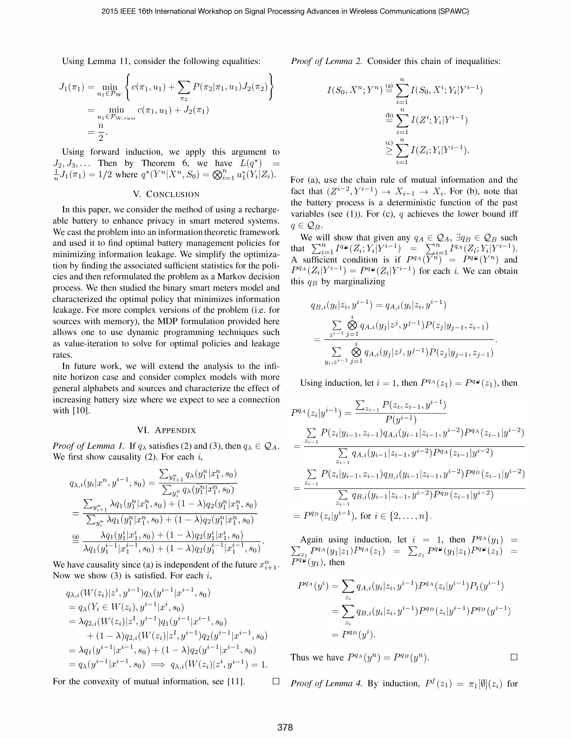Using Lemma 11, consider the following equalities:

$$
J_1(\pi_1) = \min_{u_1 \in \mathcal{P}_W} \left\{ c(\pi_1, u_1) + \sum_{\pi_2} P(\pi_2 | \pi_1, u_1) J_2(\pi_2) \right\}
$$
  
= 
$$
\min_{u_1 \in \mathcal{P}_{W, sym}} c(\pi_1, u_1) + J_2(\pi_1)
$$
  
= 
$$
\frac{n}{2}.
$$

Using forward induction, we apply this argument to  $J_2, J_3, \ldots$  Then by Theorem 6, we have  $L(q^*)$  =  $\frac{1}{n}J_1(\pi_1) = 1/2$  where  $q^*(Y^n|X^n, S_0) = \bigotimes_{i=1}^n u_1^*(Y_i|Z_i)$ .

## V. CONCLUSION

In this paper, we consider the method of using a rechargeable battery to enhance privacy in smart metered systems. We cast the problem into an information theoretic framework and used it to find optimal battery management policies for minimizing information leakage. We simplify the optimization by finding the associated sufficient statistics for the policies and then refonnulated the problem as a Markov decision process. We then studied the binary smart meters model and characterized the optimal policy that minimizes information leakage. For more complex versions of the problem (i.e. for sources with memory), the MDP formulation provided here allows one to use dynamic programming techniques such as value-iteration to solve for optimal policies and leakage rates.

In future work, we will extend the analysis to the infinite horizon case and consider complex models with more general alphabets and sources and characterize the effect of increasing battery size where we expect to see a connection with [10].

## VI. ApPENDIX

*Proof of Lemma 1.* If  $q_{\lambda}$  satisfies (2) and (3), then  $q_{\lambda} \in \mathcal{Q}_A$ . We first show causality  $(2)$ . For each i,

$$
q_{\lambda,i}(y_i|x^n, y^{i-1}, s_0) = \frac{\sum_{y_{i+1}^n} q_\lambda(y_1^n|x_1^n, s_0)}{\sum_{y_i^n} q_\lambda(y_1^n|x_1^n, s_0)}
$$
  
= 
$$
\frac{\sum_{y_{i+1}^n} \lambda q_1(y_1^n|x_1^n, s_0) + (1-\lambda)q_2(y_1^n|x_1^n, s_0)}{\sum_{y_i^n} \lambda q_1(y_1^n|x_1^n, s_0) + (1-\lambda)q_2(y_1^n|x_1^n, s_0)}
$$
  

$$
\stackrel{\text{(a)}}{=} \frac{\lambda q_1(y_1^i|x_1^i, s_0) + (1-\lambda)q_2(y_1^i|x_1^i, s_0)}{\lambda q_1(y_1^{i-1}|x_1^{i-1}, s_0) + (1-\lambda)q_2(y_1^{i-1}|x_1^{i-1}, s_0)}.
$$

We have causality since (a) is independent of the future  $x_{i+1}^n$ . Now we show  $(3)$  is satisfied. For each i,

$$
q_{\lambda,i}(W(z_i)|z^i, y^{i-1})q_{\lambda}(y^{i-1}|x^{i-1}, s_0)
$$
  
\n
$$
= q_{\lambda}(Y_i \in W(z_i), y^{i-1}|x^i, s_0)
$$
  
\n
$$
= \lambda q_{2,i}(W(z_i)|z^i, y^{i-1})q_1(y^{i-1}|x^{i-1}, s_0)
$$
  
\n
$$
+ (1 - \lambda)q_{2,i}(W(z_i)|z^i, y^{i-1})q_2(y^{i-1}|x^{i-1}, s_0)
$$
  
\n
$$
= \lambda q_1(y^{i-1}|x^{i-1}, s_0) + (1 - \lambda)q_2(y^{i-1}|x^{i-1}, s_0)
$$
  
\n
$$
= q_{\lambda}(y^{i-1}|x^{i-1}, s_0) \implies q_{\lambda,i}(W(z_i)|z^i, y^{i-1}) = 1.
$$

Proof of Lemma 2. Consider this chain of inequalities:

$$
I(S_0, X^n; Y^n) \stackrel{\text{(a)}}{=} \sum_{i=1}^n I(S_0, X^i; Y_i | Y^{i-1})
$$
  

$$
\stackrel{\text{(b)}}{=} \sum_{i=1}^n I(Z^i; Y_i | Y^{i-1})
$$
  

$$
\stackrel{\text{(c)}}{\geq} \sum_{i=1}^n I(Z_i; Y_i | Y^{i-1}).
$$

For (a), use the chain rule of mutual information and the fact that  $(Z^{i-2}, Y^{i-1}) \rightarrow X_{i-1} \rightarrow X_i$ . For (b), note that the battery process is a deterministic function of the past variables (see (1)). For (c), q achieves the lower bound iff  $q \in \mathcal{Q}_B$ .

We will show that given any  $q_A \in \mathcal{Q}_A$ ,  $\exists q_B \in \mathcal{Q}_B$  such that  $\sum_{i=1}^n I^{q_p}(Z_i; Y_i | Y^{i-1}) = \sum_{i=1}^n I^{q_A}(Z_i; Y_i | Y^{i-1}).$ A sufficient condition is if  $P^{q_A}(Y^n) = P^{q_B}(Y^n)$  and  $P^{q_A}(Z_i|Y^{i-1}) = P^{q_B}(Z_i|Y^{i-1})$  for each i. We can obtain this  $q_B$  by marginalizing

$$
q_{B,i}(y_i|z_i, y^{i-1}) = q_{A,i}(y_i|z_i, y^{i-1})
$$
  
= 
$$
\frac{\sum_{z^{i-1}} \bigotimes_{j=1}^i q_{A,i}(y_j|z^j, y^{j-1}) P(z_j|y_{j-1}, z_{i-1})}{\sum_{y_i, z^{i-1}} \bigotimes_{j=1}^i q_{A,i}(y_j|z^j, y^{j-1}) P(z_j|y_{j-1}, z_{j-1})}.
$$

Using induction, let  $i = 1$ , then  $P^{q_A}(z_1) = P^{q_B}(z_1)$ , then

$$
P^{q_A}(z_i|y^{i-1}) = \frac{\sum_{z_{i-1}} P(z_i, z_{i-1}, y^{i-1})}{P(y^{i-1})}
$$
  
\n
$$
= \frac{\sum_{z_{i-1}} P(z_i|y_{i-1}, z_{i-1})q_{A,i}(y_{i-1}|z_{i-1}, y^{i-2})P^{q_A}(z_{i-1}|y^{i-2})}{\sum_{z_{i-1}} q_{A,i}(y_{i-1}|z_{i-1}, y^{i-2})P^{q_A}(z_{i-1}|y^{i-2})}
$$
  
\n
$$
= \frac{\sum_{z_{i-1}} P(z_i|y_{i-1}, z_{i-1})q_{B,i}(y_{i-1}|z_{i-1}, y^{i-2})P^{q_B}(z_{i-1}|y^{i-2})}{\sum_{z_{i-1}} q_{B,i}(y_{i-1}|z_{i-1}, y^{i-2})P^{q_B}(z_{i-1}|y^{i-2})}
$$
  
\n
$$
= P^{q_B}(z_i|y^{i-1}), \text{ for } i \in \{2, ..., n\}.
$$

Again using induction, let  $i = 1$ , then  $P^{q_A}(y_1)$  $\sum_{z_1} P^{q_A}(y_1|z_1)P^{q_A}(z_1) = \sum_{z_1} P^{q_B}(y_1|z_1)P^{q_B}(z_1)$  $P^{q_B}(y_1)$ , then

$$
P^{q_A}(y^i) = \sum_{z_i} q_{A,i}(y_i|z_i, y^{i-1}) P^{q_A}(z_i|y^{i-1}) P_1(y^{i-1})
$$
  
= 
$$
\sum_{z_i} q_{B,i}(y_i|z_i, y^{i-1}) P^{q_B}(z_i|y^{i-1}) P^{q_B}(y^{i-1})
$$
  
= 
$$
P^{q_B}(y^i).
$$

Thus we have  $P^{q_A}(y^n) = P^{q_B}(y^n)$ .

For the convexity of mutual information, see [11].  $\square$  Proof of Lemma 4. By induction,  $P^f(z_1) = \pi_1[\emptyset](z_i)$  for

 $\Box$